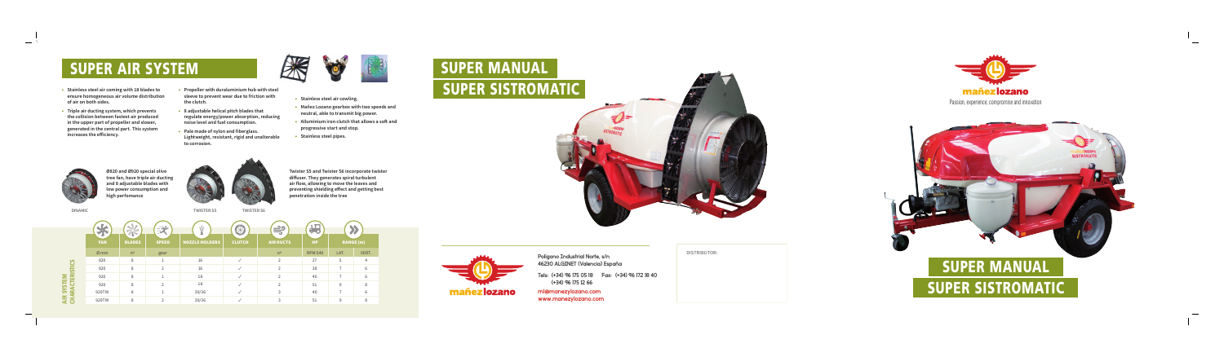Passion, experience, compromise and innovation



# **SUPER SISTROMATIC SUPER MANUAL**





Poligono Industrial Norte, s/n 46230 ALGINET (Valencia) España

Tels: (+34) 96 175 05 18 Fax: (+34) 96 172 18 40 (+34) 96 175 12 66

ml@manezylozano.com www.manezylozano.com **DISTRIBUTOR:**



## **SUPER AIR SYSTEM**



- **Stainless steel air coming with 18 blades to ensure homogeneous air volume distribution of air on both sides.**
- **Triple air ducting system, which prevents the collision between fastest air produced in the upper part of propeller and slower, generated in the central part. This system increases the eff iciency.**



- **8 adjustable helical pitch blades that regulate energy/power absorption, reducing noise level and fuel consumption.**
- Pale made of nylon and fiberglass. **Lightweight, resistant, rigid and unalterable to corrosion.**







- **Stainless steel air cowling.**
- **Mañez Lozano gearbox with two speeds and neutral, able to transmit big power.**
- **Alluminium iron clutch that allows a soft and progressive start and stop.**
- **Stainless steel pipes.**



**Ø820 and Ø920 special olive tree fan, have triple air ducting and 8 adjustable blades with low power consumption and high perfomance** 

**Twister S5 and Twister S6 incorporate twister diff user. They generates spiral turbulent**  air flow, allowing to move the leaves and **preventing shielding eff ect and getting best penetration inside the tree**

**DINAMIC TWISTER S5 TWISTER S6**